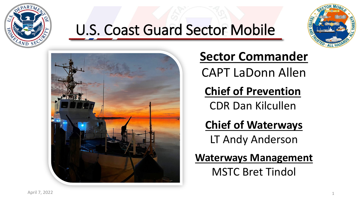

## U.S. Coast Guard Sector Mobile





### **Sector Commander**  CAPT LaDonn Allen

**Chief of Prevention** CDR Dan Kilcullen

**Chief of Waterways** LT Andy Anderson

**Waterways Management** MSTC Bret Tindol

April 7, 2022 **1**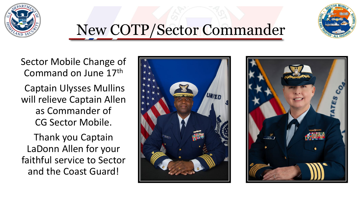



## New COTP/Sector Commander

Sector Mobile Change of Command on June 17th

Captain Ulysses Mullins will relieve Captain Allen as Commander of CG Sector Mobile.

Thank you Captain LaDonn Allen for your faithful service to Sector and the Coast Guard!



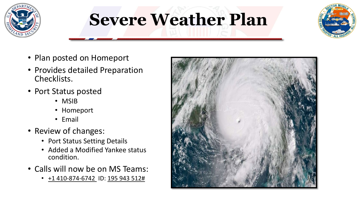

## **Severe Weather Plan**



- Plan posted on Homeport
- Provides detailed Preparation Checklists.
- Port Status posted
	- MSIB
	- Homeport
	- Email
- Review of changes:
	- Port Status Setting Details
	- Added a Modified Yankee status condition.
- Calls will now be on MS Teams:
	- $\cdot$  +1 410-874-6742 ID: 195 943 512#

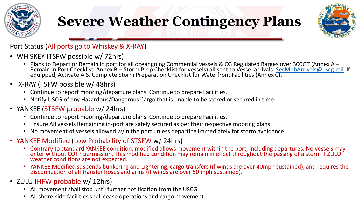

### **Severe Weather Contingency Plans**



#### Port Status (All ports go to Whiskey & X-RAY)

- WHISKEY (TSFW possible w/ 72hrs)
	- Plans to Depart or Remain in port for all oceangoing Commercial vessels & CG Regulated Barges over 300GT (Annex A -<br>Remain in Port Checklist, Annex B Storm Prep Checklist for vessels) all sent to Vessel arrivals: SecMo equipped, Activate AIS. Complete Storm Preparation Checklist for Waterfront Facilities (Annex C).
- X-RAY (TSFW possible w/ 48hrs)
	- Continue to report mooring/departure plans. Continue to prepare Facilities.
	- Notify USCG of any Hazardous/Dangerous Cargo that is unable to be stored or secured in time.
- YANKEE (STSFW probable w/ 24hrs)
	- Continue to report mooring/departure plans. Continue to prepare Facilities.
	- Ensure All vessels Remaining in-port are safely secured as per their respective mooring plans.
	- No movement of vessels allowed w/in the port unless departing immediately for storm avoidance.
- YANKEE Modified (Low Probability of STSFW w/ 24hrs)
	- Contrary to standard YANKEE condition, modified allows movement within the port, including departures. No vessels may enter without COTP permission. This modified condition may remain in effect throughout the passing of a storm if ZULU weather conditions are not expected.
	- YANKEE Modified suspends bunkering and Lightering, cargo transfers (if winds are over 40mph sustained), and requires the disconnection of all transfer hoses and arms (if winds are over 50 mph sustained).
- ZULU (HFW probable w/ 12hrs)
	- All movement shall stop until further notification from the USCG.
	- All shore-side facilities shall cease operations and cargo movement.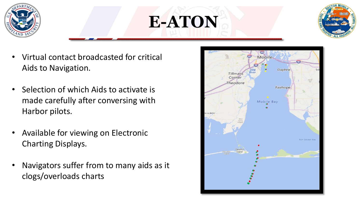

# **E-ATON**



- Virtual contact broadcasted for critical Aids to Navigation.
- Selection of which Aids to activate is made carefully after conversing with Harbor pilots.
- Available for viewing on Electronic Charting Displays.
- Navigators suffer from to many aids as it clogs/overloads charts

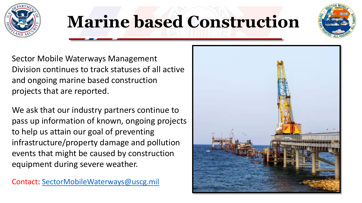

## **Marine based Construction**



Sector Mobile Waterways Management Division continues to track statuses of all active and ongoing marine based construction projects that are reported.

We ask that our industry partners continue to pass up information of known, ongoing projects to help us attain our goal of preventing infrastructure/property damage and pollution events that might be caused by construction equipment during severe weather.

Contact: [SectorMobileWaterways@uscg.mil](mailto:SectorMobileWaterways@uscg.mil)